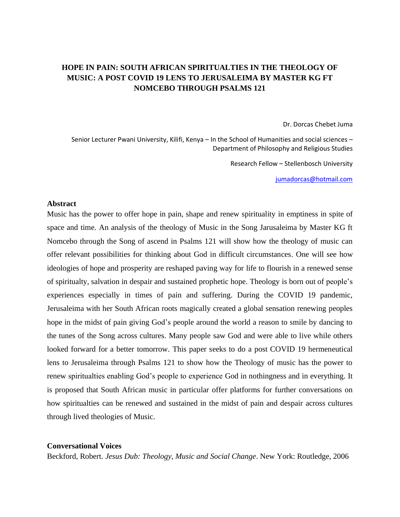## **HOPE IN PAIN: SOUTH AFRICAN SPIRITUALTIES IN THE THEOLOGY OF MUSIC: A POST COVID 19 LENS TO JERUSALEIMA BY MASTER KG FT NOMCEBO THROUGH PSALMS 121**

Dr. Dorcas Chebet Juma

Senior Lecturer Pwani University, Kilifi, Kenya – In the School of Humanities and social sciences – Department of Philosophy and Religious Studies

Research Fellow – Stellenbosch University

[jumadorcas@hotmail.com](mailto:jumadorcas@hotmail.com)

## **Abstract**

Music has the power to offer hope in pain, shape and renew spirituality in emptiness in spite of space and time. An analysis of the theology of Music in the Song Jarusaleima by Master KG ft Nomcebo through the Song of ascend in Psalms 121 will show how the theology of music can offer relevant possibilities for thinking about God in difficult circumstances. One will see how ideologies of hope and prosperity are reshaped paving way for life to flourish in a renewed sense of spiritualty, salvation in despair and sustained prophetic hope. Theology is born out of people's experiences especially in times of pain and suffering. During the COVID 19 pandemic, Jerusaleima with her South African roots magically created a global sensation renewing peoples hope in the midst of pain giving God's people around the world a reason to smile by dancing to the tunes of the Song across cultures. Many people saw God and were able to live while others looked forward for a better tomorrow. This paper seeks to do a post COVID 19 hermeneutical lens to Jerusaleima through Psalms 121 to show how the Theology of music has the power to renew spiritualties enabling God's people to experience God in nothingness and in everything. It is proposed that South African music in particular offer platforms for further conversations on how spiritualties can be renewed and sustained in the midst of pain and despair across cultures through lived theologies of Music.

## **Conversational Voices**

Beckford, Robert. *Jesus Dub: Theology, Music and Social Change*. New York: Routledge, 2006